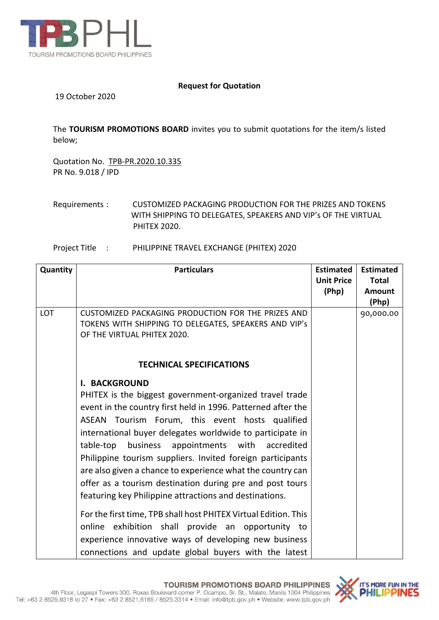

### **Request for Quotation**

19 October 2020

The **TOURISM PROMOTIONS BOARD** invites you to submit quotations for the item/s listed below;

Quotation No. TPB-PR.2020.10.335 PR No. 9.018 / IPD

#### Project Title : PHILIPPINE TRAVEL EXCHANGE (PHITEX) 2020

| Quantity   | <b>Particulars</b>                                                                   | <b>Estimated</b><br><b>Unit Price</b> | <b>Estimated</b><br><b>Total</b> |
|------------|--------------------------------------------------------------------------------------|---------------------------------------|----------------------------------|
|            |                                                                                      | (Php)                                 | <b>Amount</b>                    |
|            |                                                                                      |                                       | (Php)                            |
| <b>LOT</b> | CUSTOMIZED PACKAGING PRODUCTION FOR THE PRIZES AND                                   |                                       | 90,000.00                        |
|            | TOKENS WITH SHIPPING TO DELEGATES, SPEAKERS AND VIP's<br>OF THE VIRTUAL PHITEX 2020. |                                       |                                  |
|            |                                                                                      |                                       |                                  |
|            | <b>TECHNICAL SPECIFICATIONS</b>                                                      |                                       |                                  |
|            | <b>I. BACKGROUND</b>                                                                 |                                       |                                  |
|            | PHITEX is the biggest government-organized travel trade                              |                                       |                                  |
|            | event in the country first held in 1996. Patterned after the                         |                                       |                                  |
|            | ASEAN Tourism Forum, this event hosts qualified                                      |                                       |                                  |
|            | international buyer delegates worldwide to participate in                            |                                       |                                  |
|            | business appointments with accredited<br>table-top                                   |                                       |                                  |
|            | Philippine tourism suppliers. Invited foreign participants                           |                                       |                                  |
|            | are also given a chance to experience what the country can                           |                                       |                                  |
|            | offer as a tourism destination during pre and post tours                             |                                       |                                  |
|            | featuring key Philippine attractions and destinations.                               |                                       |                                  |
|            | For the first time, TPB shall host PHITEX Virtual Edition. This                      |                                       |                                  |
|            | online exhibition shall provide an opportunity to                                    |                                       |                                  |
|            | experience innovative ways of developing new business                                |                                       |                                  |
|            | connections and update global buyers with the latest                                 |                                       |                                  |

Requirements : CUSTOMIZED PACKAGING PRODUCTION FOR THE PRIZES AND TOKENS WITH SHIPPING TO DELEGATES, SPEAKERS AND VIP's OF THE VIRTUAL PHITEX 2020.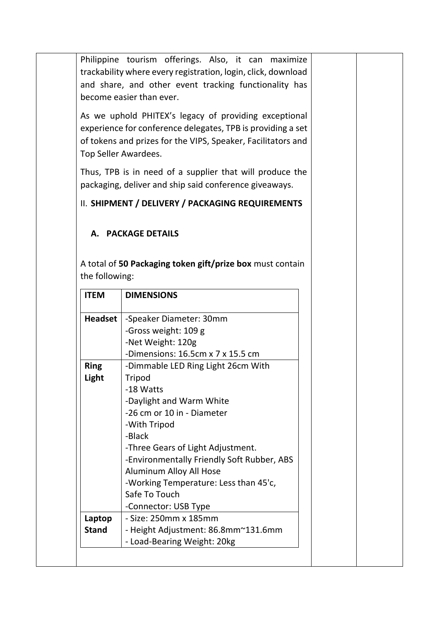Philippine tourism offerings. Also, it can maximize trackability where every registration, login, click, download and share, and other event tracking functionality has become easier than ever.

As we uphold PHITEX's legacy of providing exceptional experience for conference delegates, TPB is providing a set of tokens and prizes for the VIPS, Speaker, Facilitators and Top Seller Awardees.

Thus, TPB is in need of a supplier that will produce the packaging, deliver and ship said conference giveaways.

# II. **SHIPMENT / DELIVERY / PACKAGING REQUIREMENTS**

## **A. PACKAGE DETAILS**

A total of **50 Packaging token gift/prize box** must contain the following:

| <b>ITEM</b>    | <b>DIMENSIONS</b>                          |
|----------------|--------------------------------------------|
| <b>Headset</b> | -Speaker Diameter: 30mm                    |
|                | -Gross weight: 109 g                       |
|                | -Net Weight: 120g                          |
|                | -Dimensions: 16.5cm x 7 x 15.5 cm          |
| <b>Ring</b>    | -Dimmable LED Ring Light 26cm With         |
| Light          | Tripod                                     |
|                | -18 Watts                                  |
|                | -Daylight and Warm White                   |
|                | -26 cm or 10 in - Diameter                 |
|                | -With Tripod                               |
|                | -Black                                     |
|                | -Three Gears of Light Adjustment.          |
|                | -Environmentally Friendly Soft Rubber, ABS |
|                | Aluminum Alloy All Hose                    |
|                | -Working Temperature: Less than 45'c,      |
|                | Safe To Touch                              |
|                | -Connector: USB Type                       |
| Laptop         | - Size: 250mm x 185mm                      |
| <b>Stand</b>   | - Height Adjustment: 86.8mm~131.6mm        |
|                | - Load-Bearing Weight: 20kg                |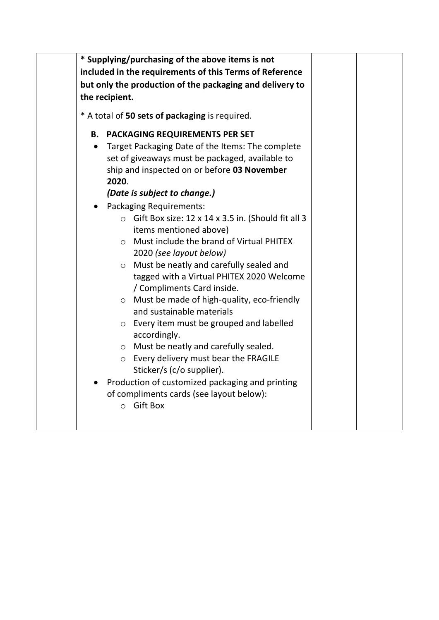|                 | * Supplying/purchasing of the above items is not<br>included in the requirements of this Terms of Reference<br>but only the production of the packaging and delivery to<br>the recipient.                                                                                                                                                                                                                                                                                                                                                                                                                                                                                                                                                                             |  |
|-----------------|-----------------------------------------------------------------------------------------------------------------------------------------------------------------------------------------------------------------------------------------------------------------------------------------------------------------------------------------------------------------------------------------------------------------------------------------------------------------------------------------------------------------------------------------------------------------------------------------------------------------------------------------------------------------------------------------------------------------------------------------------------------------------|--|
|                 | * A total of 50 sets of packaging is required.                                                                                                                                                                                                                                                                                                                                                                                                                                                                                                                                                                                                                                                                                                                        |  |
| В.<br>$\bullet$ | <b>PACKAGING REQUIREMENTS PER SET</b><br>Target Packaging Date of the Items: The complete<br>set of giveaways must be packaged, available to<br>ship and inspected on or before 03 November<br>2020.<br>(Date is subject to change.)                                                                                                                                                                                                                                                                                                                                                                                                                                                                                                                                  |  |
|                 | <b>Packaging Requirements:</b><br>$\circ$ Gift Box size: 12 x 14 x 3.5 in. (Should fit all 3<br>items mentioned above)<br>Must include the brand of Virtual PHITEX<br>$\circ$<br>2020 (see layout below)<br>Must be neatly and carefully sealed and<br>$\circ$<br>tagged with a Virtual PHITEX 2020 Welcome<br>/ Compliments Card inside.<br>Must be made of high-quality, eco-friendly<br>$\circ$<br>and sustainable materials<br>Every item must be grouped and labelled<br>$\circ$<br>accordingly.<br>Must be neatly and carefully sealed.<br>$\circ$<br>Every delivery must bear the FRAGILE<br>$\circ$<br>Sticker/s (c/o supplier).<br>Production of customized packaging and printing<br>of compliments cards (see layout below):<br><b>Gift Box</b><br>$\circ$ |  |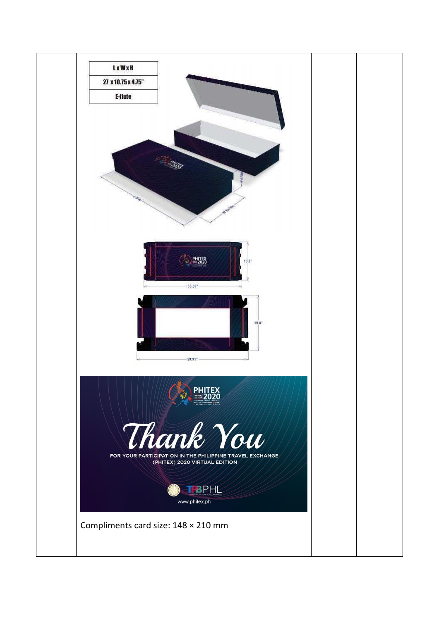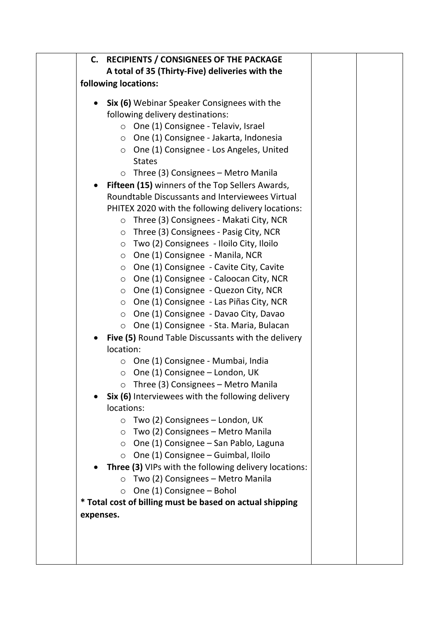|           | C. RECIPIENTS / CONSIGNEES OF THE PACKAGE<br>A total of 35 (Thirty-Five) deliveries with the                                                                                                                                                                                                                                                                                                                                                                                                                                                                                                                                                                                                                                                                                                            |  |
|-----------|---------------------------------------------------------------------------------------------------------------------------------------------------------------------------------------------------------------------------------------------------------------------------------------------------------------------------------------------------------------------------------------------------------------------------------------------------------------------------------------------------------------------------------------------------------------------------------------------------------------------------------------------------------------------------------------------------------------------------------------------------------------------------------------------------------|--|
|           | following locations:                                                                                                                                                                                                                                                                                                                                                                                                                                                                                                                                                                                                                                                                                                                                                                                    |  |
|           |                                                                                                                                                                                                                                                                                                                                                                                                                                                                                                                                                                                                                                                                                                                                                                                                         |  |
| $\bullet$ | <b>Six (6)</b> Webinar Speaker Consignees with the<br>following delivery destinations:<br>$\circ$ One (1) Consignee - Telaviv, Israel<br>$\circ$ One (1) Consignee - Jakarta, Indonesia<br>$\circ$ One (1) Consignee - Los Angeles, United<br><b>States</b><br>$\circ$ Three (3) Consignees – Metro Manila<br>Fifteen (15) winners of the Top Sellers Awards,<br>Roundtable Discussants and Interviewees Virtual<br>PHITEX 2020 with the following delivery locations:<br>$\circ$ Three (3) Consignees - Makati City, NCR<br>$\circ$ Three (3) Consignees - Pasig City, NCR<br>○ Two (2) Consignees - Iloilo City, Iloilo<br>○ One (1) Consignee - Manila, NCR<br>$\circ$ One (1) Consignee - Cavite City, Cavite<br>○ One (1) Consignee - Caloocan City, NCR<br>○ One (1) Consignee - Quezon City, NCR |  |
|           | $\circ$ One (1) Consignee - Las Piñas City, NCR<br>○ One (1) Consignee - Davao City, Davao<br>○ One (1) Consignee - Sta. Maria, Bulacan<br>Five (5) Round Table Discussants with the delivery<br>location:                                                                                                                                                                                                                                                                                                                                                                                                                                                                                                                                                                                              |  |
|           | $\circ$ One (1) Consignee - Mumbai, India<br>$\circ$ One (1) Consignee – London, UK<br>o Three (3) Consignees - Metro Manila<br>Six (6) Interviewees with the following delivery<br>locations:                                                                                                                                                                                                                                                                                                                                                                                                                                                                                                                                                                                                          |  |
|           | $\circ$ Two (2) Consignees – London, UK<br>Two (2) Consignees – Metro Manila<br>$\circ$<br>One (1) Consignee - San Pablo, Laguna<br>$\circ$<br>$\circ$ One (1) Consignee – Guimbal, Iloilo                                                                                                                                                                                                                                                                                                                                                                                                                                                                                                                                                                                                              |  |
|           | Three (3) VIPs with the following delivery locations:<br>$\circ$ Two (2) Consignees - Metro Manila<br>$\circ$ One (1) Consignee – Bohol<br>* Total cost of billing must be based on actual shipping                                                                                                                                                                                                                                                                                                                                                                                                                                                                                                                                                                                                     |  |
| expenses. |                                                                                                                                                                                                                                                                                                                                                                                                                                                                                                                                                                                                                                                                                                                                                                                                         |  |
|           |                                                                                                                                                                                                                                                                                                                                                                                                                                                                                                                                                                                                                                                                                                                                                                                                         |  |
|           |                                                                                                                                                                                                                                                                                                                                                                                                                                                                                                                                                                                                                                                                                                                                                                                                         |  |
|           |                                                                                                                                                                                                                                                                                                                                                                                                                                                                                                                                                                                                                                                                                                                                                                                                         |  |
|           |                                                                                                                                                                                                                                                                                                                                                                                                                                                                                                                                                                                                                                                                                                                                                                                                         |  |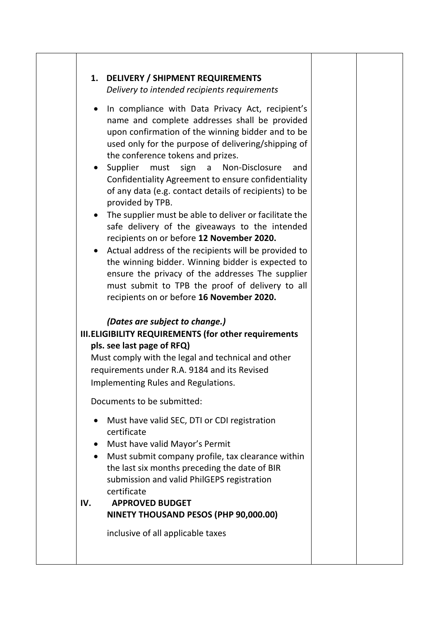| <b>DELIVERY / SHIPMENT REQUIREMENTS</b><br>1.<br>Delivery to intended recipients requirements                                                                                                                                                                                                                                                                                                                                                                                                                                                                                                                                                                                                                                                                                                                                                                                                                 |  |
|---------------------------------------------------------------------------------------------------------------------------------------------------------------------------------------------------------------------------------------------------------------------------------------------------------------------------------------------------------------------------------------------------------------------------------------------------------------------------------------------------------------------------------------------------------------------------------------------------------------------------------------------------------------------------------------------------------------------------------------------------------------------------------------------------------------------------------------------------------------------------------------------------------------|--|
| In compliance with Data Privacy Act, recipient's<br>$\bullet$<br>name and complete addresses shall be provided<br>upon confirmation of the winning bidder and to be<br>used only for the purpose of delivering/shipping of<br>the conference tokens and prizes.<br>Supplier<br>must sign<br>Non-Disclosure<br>$\mathsf{a}$<br>and<br>Confidentiality Agreement to ensure confidentiality<br>of any data (e.g. contact details of recipients) to be<br>provided by TPB.<br>The supplier must be able to deliver or facilitate the<br>safe delivery of the giveaways to the intended<br>recipients on or before 12 November 2020.<br>Actual address of the recipients will be provided to<br>$\bullet$<br>the winning bidder. Winning bidder is expected to<br>ensure the privacy of the addresses The supplier<br>must submit to TPB the proof of delivery to all<br>recipients on or before 16 November 2020. |  |
| (Dates are subject to change.)<br><b>III.ELIGIBILITY REQUIREMENTS (for other requirements</b><br>pls. see last page of RFQ)<br>Must comply with the legal and technical and other<br>requirements under R.A. 9184 and its Revised<br>Implementing Rules and Regulations.                                                                                                                                                                                                                                                                                                                                                                                                                                                                                                                                                                                                                                      |  |
| Documents to be submitted:                                                                                                                                                                                                                                                                                                                                                                                                                                                                                                                                                                                                                                                                                                                                                                                                                                                                                    |  |
| Must have valid SEC, DTI or CDI registration<br>$\bullet$<br>certificate<br>Must have valid Mayor's Permit<br>$\bullet$<br>Must submit company profile, tax clearance within<br>$\bullet$<br>the last six months preceding the date of BIR<br>submission and valid PhilGEPS registration<br>certificate<br><b>APPROVED BUDGET</b><br>IV.<br>NINETY THOUSAND PESOS (PHP 90,000.00)<br>inclusive of all applicable taxes                                                                                                                                                                                                                                                                                                                                                                                                                                                                                        |  |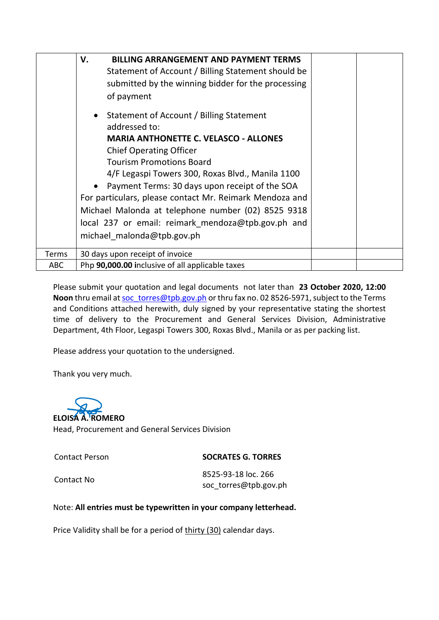|              | V.<br><b>BILLING ARRANGEMENT AND PAYMENT TERMS</b><br>Statement of Account / Billing Statement should be<br>submitted by the winning bidder for the processing<br>of payment<br>Statement of Account / Billing Statement<br>addressed to:<br><b>MARIA ANTHONETTE C. VELASCO - ALLONES</b><br><b>Chief Operating Officer</b><br><b>Tourism Promotions Board</b><br>4/F Legaspi Towers 300, Roxas Blvd., Manila 1100<br>Payment Terms: 30 days upon receipt of the SOA<br>For particulars, please contact Mr. Reimark Mendoza and<br>Michael Malonda at telephone number (02) 8525 9318<br>local 237 or email: reimark mendoza@tpb.gov.ph and<br>michael malonda@tpb.gov.ph |  |
|--------------|---------------------------------------------------------------------------------------------------------------------------------------------------------------------------------------------------------------------------------------------------------------------------------------------------------------------------------------------------------------------------------------------------------------------------------------------------------------------------------------------------------------------------------------------------------------------------------------------------------------------------------------------------------------------------|--|
| <b>Terms</b> | 30 days upon receipt of invoice                                                                                                                                                                                                                                                                                                                                                                                                                                                                                                                                                                                                                                           |  |
| <b>ABC</b>   | Php 90,000.00 inclusive of all applicable taxes                                                                                                                                                                                                                                                                                                                                                                                                                                                                                                                                                                                                                           |  |

Please submit your quotation and legal documents not later than **23 October 2020, 12:00**  Noon thru email a[t soc\\_torres@tpb.gov.ph](mailto:soc_torres@tpb.gov.ph) or thru fax no. 02 8526-5971, subject to the Terms and Conditions attached herewith, duly signed by your representative stating the shortest time of delivery to the Procurement and General Services Division, Administrative Department, 4th Floor, Legaspi Towers 300, Roxas Blvd., Manila or as per packing list.

Please address your quotation to the undersigned.

Thank you very much.

**ELOISA A. ROMERO**  Head, Procurement and General Services Division

Contact Person **SOCRATES G. TORRES**

Contact No 8525-93-18 loc. 266 soc\_torres@tpb.gov.ph

### Note: **All entries must be typewritten in your company letterhead.**

Price Validity shall be for a period of thirty (30) calendar days.